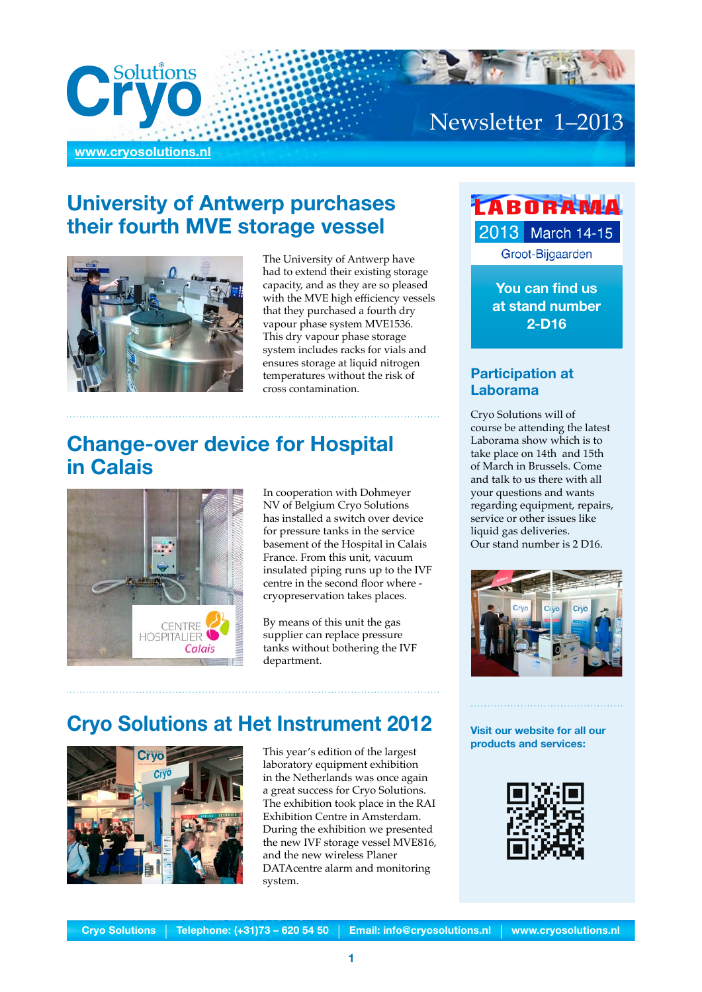

## **University of Antwerp purchases their fourth MVE storage vessel**



The University of Antwerp have had to extend their existing storage capacity, and as they are so pleased with the MVE high efficiency vessels that they purchased a fourth dry vapour phase system MVE1536. This dry vapour phase storage system includes racks for vials and ensures storage at liquid nitrogen temperatures without the risk of cross contamination.

#### **Change-over device for Hospital in Calais**



In cooperation with Dohmeyer NV of Belgium Cryo Solutions has installed a switch over device for pressure tanks in the service basement of the Hospital in Calais France. From this unit, vacuum insulated piping runs up to the IVF centre in the second floor where cryopreservation takes places.

By means of this unit the gas supplier can replace pressure tanks without bothering the IVF department.

## **Cryo Solutions at Het Instrument 2012**



This year's edition of the largest laboratory equipment exhibition in the Netherlands was once again a great success for Cryo Solutions. The exhibition took place in the RAI Exhibition Centre in Amsterdam. During the exhibition we presented the new IVF storage vessel MVE816, and the new wireless Planer DATAcentre alarm and monitoring system.

## *LABORAMA* 2013 March 14-15 Groot-Bijgaarden

**You can find us at stand number 2-D16**

#### **Participation at Laborama**

Cryo Solutions will of course be attending the latest Laborama show which is to take place on 14th and 15th of March in Brussels. Come and talk to us there with all your questions and wants regarding equipment, repairs, service or other issues like liquid gas deliveries. Our stand number is 2 D16.



**Visit our website for all our products and services:**

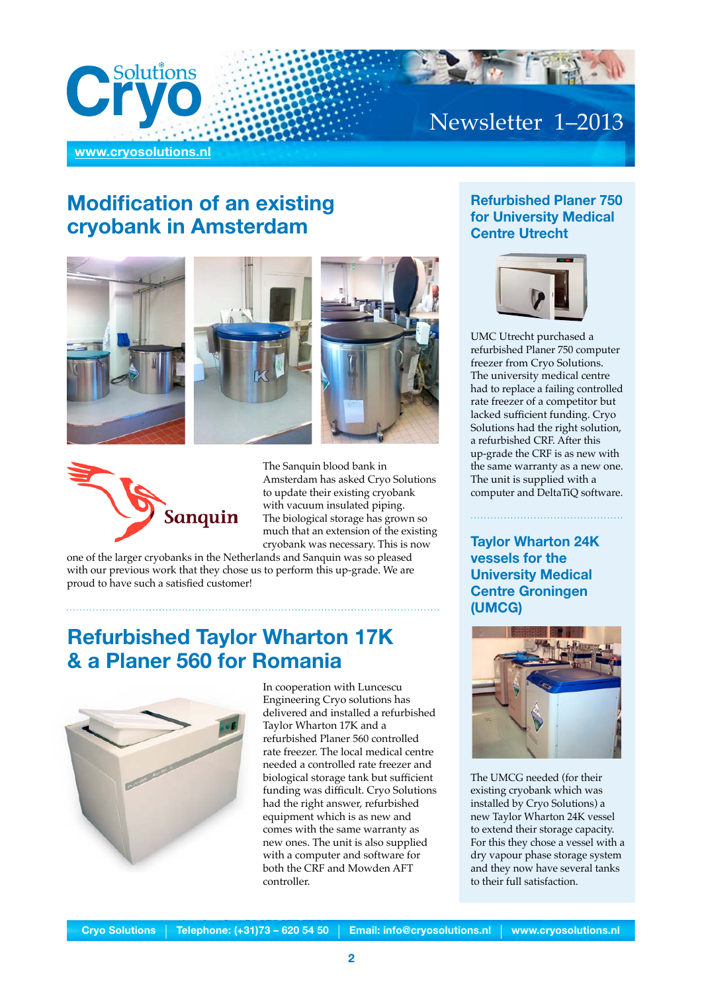

## **Modification of an existing cryobank in Amsterdam**





The Sanquin blood bank in Amsterdam has asked Cryo Solutions to update their existing cryobank with vacuum insulated piping. The biological storage has grown so much that an extension of the existing cryobank was necessary. This is now

one of the larger cryobanks in the Netherlands and Sanquin was so pleased with our previous work that they chose us to perform this up-grade. We are proud to have such a satisfied customer!

## **Refurbished Taylor Wharton 17K & a Planer 560 for Romania**



In cooperation with Luncescu Engineering Cryo solutions has delivered and installed a refurbished Taylor Wharton 17K and a refurbished Planer 560 controlled rate freezer. The local medical centre needed a controlled rate freezer and biological storage tank but sufficient funding was difficult. Cryo Solutions had the right answer, refurbished equipment which is as new and comes with the same warranty as new ones. The unit is also supplied with a computer and software for both the CRF and Mowden AFT controller.

#### **Refurbished Planer 750 for University Medical Centre Utrecht**



UMC Utrecht purchased a refurbished Planer 750 computer freezer from Cryo Solutions. The university medical centre had to replace a failing controlled rate freezer of a competitor but lacked sufficient funding. Cryo Solutions had the right solution, a refurbished CRF. After this up-grade the CRF is as new with the same warranty as a new one. The unit is supplied with a computer and DeltaTiQ software.

**Taylor Wharton 24K vessels for the University Medical Centre Groningen (UMCG)**



The UMCG needed (for their existing cryobank which was installed by Cryo Solutions) a new Taylor Wharton 24K vessel to extend their storage capacity. For this they chose a vessel with a dry vapour phase storage system and they now have several tanks to their full satisfaction.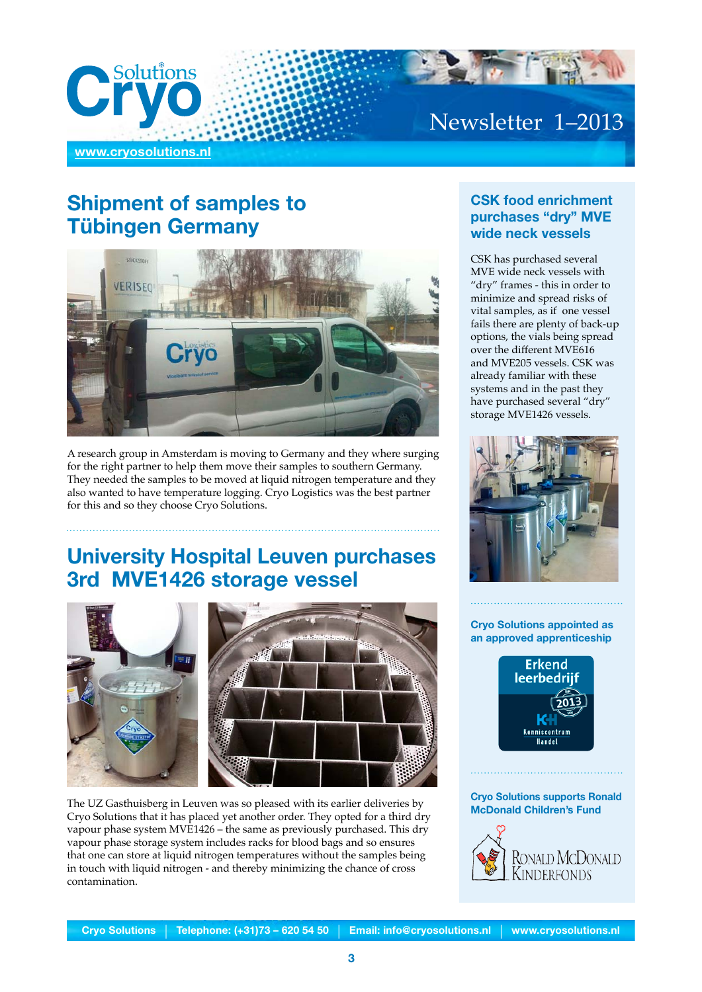

## **Shipment of samples to Tübingen Germany**



A research group in Amsterdam is moving to Germany and they where surging for the right partner to help them move their samples to southern Germany. They needed the samples to be moved at liquid nitrogen temperature and they also wanted to have temperature logging. Cryo Logistics was the best partner for this and so they choose Cryo Solutions.

## **University Hospital Leuven purchases 3rd MVE1426 storage vessel**





The UZ Gasthuisberg in Leuven was so pleased with its earlier deliveries by Cryo Solutions that it has placed yet another order. They opted for a third dry vapour phase system MVE1426 – the same as previously purchased. This dry vapour phase storage system includes racks for blood bags and so ensures that one can store at liquid nitrogen temperatures without the samples being in touch with liquid nitrogen - and thereby minimizing the chance of cross contamination.

#### **CSK food enrichment purchases "dry" MVE wide neck vessels**

CSK has purchased several MVE wide neck vessels with "dry" frames - this in order to minimize and spread risks of vital samples, as if one vessel fails there are plenty of back-up options, the vials being spread over the different MVE616 and MVE205 vessels. CSK was already familiar with these systems and in the past they have purchased several "dry" storage MVE1426 vessels.



#### **Cryo Solutions appointed as an approved apprenticeship**



#### **Cryo Solutions supports Ronald McDonald Children's Fund**